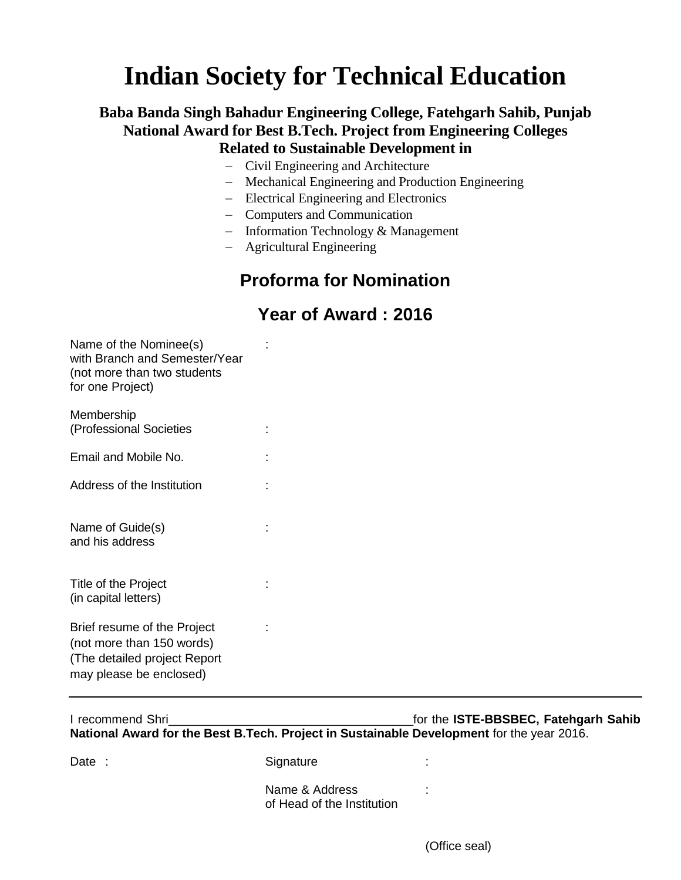# **Indian Society for Technical Education**

#### **Baba Banda Singh Bahadur Engineering College, Fatehgarh Sahib, Punjab National Award for Best B.Tech. Project from Engineering Colleges Related to Sustainable Development in**

- Civil Engineering and Architecture
- Mechanical Engineering and Production Engineering
- Electrical Engineering and Electronics
- Computers and Communication
- $-$  Information Technology & Management
- Agricultural Engineering

### **Proforma for Nomination**

#### **Year of Award : 2016**

| Name of the Nominee(s)        | ۰. |
|-------------------------------|----|
| with Branch and Semester/Year |    |
| (not more than two students   |    |
| for one Project)              |    |
|                               |    |

| <b>INICITIVEI SITIN</b><br>(Professional Societies |  |
|----------------------------------------------------|--|
| Email and Mobile No.                               |  |
| Address of the Institution                         |  |
| Name of Guide(s)<br>and his address                |  |

Title of the Project in the state of the Project in the state of the Project in the state of the state of the state of the state of the state of the state of the state of the state of the state of the state of the state of (in capital letters)

**Momborchip** 

Brief resume of the Project : (not more than 150 words) (The detailed project Report may please be enclosed)

| I recommend Shri                                                                           | for the ISTE-BBSBEC, Fatehgarh Sahib |
|--------------------------------------------------------------------------------------------|--------------------------------------|
| National Award for the Best B. Tech. Project in Sustainable Development for the year 2016. |                                      |

Date : Signature :

Name & Address : of Head of the Institution